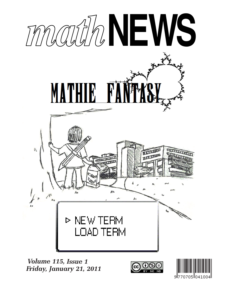

Volume 115, Issue 1 Friday, January 21, 2011



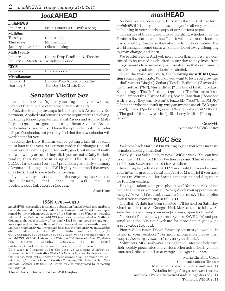# look**AHEAD**

| mathNEWS                             |                                     |  |  |  |  |  |
|--------------------------------------|-------------------------------------|--|--|--|--|--|
| January 21                           | Issue 1 enters 2011 with a bang     |  |  |  |  |  |
| <b>MathSoc</b>                       |                                     |  |  |  |  |  |
| Tuesdays                             | Games night                         |  |  |  |  |  |
| Thursdays                            | Movies night                        |  |  |  |  |  |
| January 24-25 3:30                   | Office training                     |  |  |  |  |  |
| <b>Math Faculty</b>                  |                                     |  |  |  |  |  |
| January 24                           | Course Drop Deadline-No Penalty     |  |  |  |  |  |
| January 25-March 14 Withdrawl Period |                                     |  |  |  |  |  |
| <b>CECS</b>                          |                                     |  |  |  |  |  |
| January 25                           | Interviews start                    |  |  |  |  |  |
| <b>Miscellaneous</b>                 |                                     |  |  |  |  |  |
| January 31                           | <b>Bubble Wrap Appreciation Day</b> |  |  |  |  |  |
| February 3                           | The Day The Music Died              |  |  |  |  |  |

# Senator Visitor Sez

I attended the Senate's January meeting and have a few things to report that might be of interest to math students.

First, due to major revamps in the Physics & Astronomy Department, Applied Mathematics course requirements are changing slightly for next year. Mathematical Physics and Applied Math/ Physics Options are getting more significant revamps. As current students, you will still have the option to continue under this year's calendar, but you may find that the new calendar will work better for you.

Second, the Daily Bulletin will be getting a face-lift at some point later in the year. As a current reader, the changes (including an event calendar) sounded pretty good, but we won't really know how they are until they hit. If you are not a Daily Bulletin reader, then you are missing out! The DB (http:// bulletin.uwaterloo.ca/) provides a great daily summary of events and goings-on at UW. I highly recommend that everyone check it out to see what's happening.

If you have any questions about this or anything else related to the Senate, feel free to ask me at scshunt@csclub.uwaterloo.ca.

Sean Hunt

### ISSN 0705—0410

mathNEWS is normally a fortnightly publication funded by and responsible to the undergraduate math students of the University of Waterloo, as represented by the Mathematics Society of the University of Waterloo, hereafter referred to as MathSoc. mathNEWS is editorially independent of MathSoc. Content is the responsibility of the mathNEWS editors; however, any opinions expressed herein are those of the authors and not necessarily those of MathSoc or mathNEWS. Current and back issues of mathNEWS are available electronically via the World Wide Web at http:// www.mathnews.uwaterloo.ca/. Send your correspondence to: mathNEWS, MC3046, University of Waterloo, 200 University Ave. W., Waterloo, Canada, N2L 3G1, or to userid loo, Ontario, Canada, N2L 3G1, or to userid mathnews@student.math.uwaterloo.ca on the Internet.

This work is licensed under the Creative Commons Attribution-Noncommercial-No Derivative Works 2.5 Canada License. To view a copy of this license, visit http://creativecommons.org/licenses/by-ncnd/2.5/ca/ or send a letter to Creative Commons, 559 Nathan Abbott Way, Stanford, California 94305, USA. Terms may be renegotiated by contacting the editor(s).

The editor(s): Harrison Gross, Will Hughes

# mast**HEAD**

So here we are once again, fully into the thick of the term. mathNEWS is finally out and I assume you're all very excited to be holding in your hands a copy of our glorious paper.

The issues of the now seem to be plentiful, whether it be the Tunisian Revolution and the affects it will have, or the looming crisis faced by Europe as they attempt to unify or divide. The world changes around us, as we sit here, holed away, attempting to grow, change, and learn.

We're adults now. And yet, more often than not, we are continued to be treated as children in our day to day lives, from clingy parents to a university administration that continues to treat its undergraduate students like chattel.

Given the world we live in, the following mast**HEAD** Question seems appropriate: Who do you want to be if you grow up?

theDreamer ("Magic"), Zethar ("Dead"), RedMetal ("Anyone but me"), TieFrosh ("!u"), MustardMap ("The God of Death… or Lust. Same thing."), The Unfortunate Optimist ("The Fortunate Pessimist"), import this ("Bruce Willis"), Soviet Canadian ("Someone with a wagt they can live on"), FuzzyED ("root"), theSMURF ("Someone who can think up witty answers to mastHEAD questions"), ¬perki ("perki"), Algoweird ("God"), ieatyourSANDWICH ("The god of the new world!"), Blueberry Muffin ("an applepicker").

> GroovyED Not a mathNEWS Editor

# MGC Sez

Welcome back Mathies! I'm writing to give you some more information about graduation!

Weekly Pizza Sales: They're now TWICE a week! You can find us on the 3rd floor of MC on Wednesdays and Thursdays from 11:30-1:30. \$2.25 per slice, \$4 for two slices!

Intending to graduate in 2011? You should fill in and submit your intent to graduate form! They're due March 1st if you have classes in Winter 2011 for Spring convocation and August 1st for Fall Convocation.

Have you taken your grad photos yet? You're at risk of not being in the class composite!!! Now go book your appointments: http://www.lifetouchatwaterloo.com/. This applies even if you're convocating in Fall 2011!

GradBall: A date has been selected! It'll be held on Saturday, March 5th, 2010 at St. George's Hall. More details to follow! So save the date and keep your eyes (and ears) open for tickets!

Yearbook: You can now pre-order yours (SAVE 20%) and personalize it too! Visit our website for more details (http:// mgc.uwaterloo.ca).

Picture Submission: Do you have any pictures you would like to see in your yearbook? For more information please visit: http://www.mgc.uwaterloo.ca/yearbook/.

Volunteers: MGC is always looking for volunteers to help with their weekly pizza sales and various other activities. If you are interested, please email us at uwmgc2011@gmail.com.

> Maria Christina Greco Communications Director Mathematics Graduation Committee 2011 Website: http://mgc.uwaterloo.ca Facebook: UW Mathematics Graduating Class of 2011 Twitter: UWMGC2011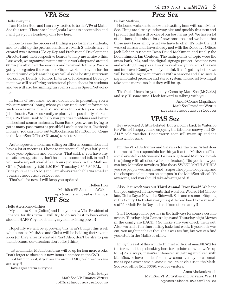# VPA Sez

Hello everyone,

I am Hellen Hou, and I am very excited to be the VPA of Math-Soc this term. There are a lot of goals I want to accomplish and I will give you a heads-up on a few here.

I hope to ease the process of finding a job for math students, and to build up the professionalism we Math Students have! I created two directors (Co-op Rep and Professional Development Director) and their respective boards to help me achieve this. Last week, we organized resume critique workshops and around 60 people attended the sessions and received 1-1 help. We are going to organize the resume critique workshop again for the second round of job searches; we will also be hosting interview workshops. Details to follow. In terms of Professional Development, we will be offering professional photo-shoots for students and we will also be running fun events such as Speed Networking.

In terms of resources, we are dedicated to presenting you a robust resources library, where you can find useful information such as a resume checklist, websites to look for jobs outside Jobmine, etc. We are currently exploring the possibility of creating a Problem Bank to help you practise problems and better understand course materials. Exam Bank, yes, we are trying to get as many past exams as possible! Last but not least, Textbook Library! You can check out textbooks from MathSoc, too! Come to the MathSoc Office (MC 3038) to ask for details!

As for representation, I am sitting on different committees and have a lot of meetings. I hope to represent all of you fairly and voice your opinions and concerns. That said, if you have any questions/suggestions, don't hesitate to come and talk to me!! I will make myself available 6 hours per week in the Mathsoc Office (Wednesday 1:30-2:30 P.M., Thursday 2:30-5:30 P.M., and Friday 9:30-11:30 A.M.) and I am always reachable via email at vpa@mathsoc.uwaterloo.ca.

That's all for now. I will keep you updated!

Hellen Hou MathSoc VP Academic W2011 vpa@mathsoc.uwaterloo.ca

# VPF Sez

Hello Awesome Mathies,

My name is Selin (Celine) and I am your new Vice President of Finance for this term. I will try to do my best to keep every student HAPPY by not abusing my non-existing power!

Hopefully we will be approving this term's budget this week which means MathSoc and Clubs will be holding their events soon (or they already started). Yay! Also, don't be shy to join them because our directors don't bite (I think).

Just a reminder, Mathletics forms will be up for four more weeks. Don't forget to check our new items & combos in the C&D.

Last but not least, if you see me around MC, feel free to come and say Hi!

Have a great term everyone.

Selin Erkaya MathSoc VP Finance W2011 vpf@mathsoc.uwaterloo.ca

# Prez Sez

Fellow Mathies,

Hello and welcome to a new and exciting term with us in Math-Soc. Thing are already underway nice and quickly this term and I predict that this will be one of our best terms yet. We have a lot of old faces, but also a lot of new ones too, and we hope that those new faces enjoy what we have to offer. It's only the 3rd week of classes and I have already met with the Executive Officer Jack Rehder, Associate Dean David McKinnon and finally the Dean himself, Ian Goulden. The main points of topic were the exam bank, M3, and the digital signage project. Another new and exciting thing you all may have already noticed is the new and improved Comfy. And if you think it can't get any better, we will be replacing the microwave with a new one and also installing a mounted projector and stereo system. Those last two might take some more time, but they will be up.

That's all I have for you today. Come by MathSoc (MC3038) and say HI some time. I look forward to talking with you.

> André Gomes Magalhaes MathSoc President W2011 prez@mathsoc.uwaterloo.ca

# VPAS Sez

 Hey everyone! A little belated, but welcome back to Waterloo for Winter! I hope you are enjoying the fabulous snowy and RE-ALLY cold weather! Don't worry, soon it'll warm up and the geese will be back!

I'm the VP of Activities and Services for the term. What does that mean? I'm responsible for things like the MathSoc office, social events like Movies and Games Nights and MathSoc novelties (along with all of our wicked directors)! Did you know you can buy MathSoc novelties (like those SWEET MATH SHIRTS you see people wearing around), super cheap photocopying, and the cheapest calculators on campus in the MathSoc office? It's awesome, and you should take advantage of it!

Also, last week was our Third Annual Frost Week! We hope that you enjoyed all the events that went on. We had Hot Chocolate, Clubs Day, a Novelties Sidewalk Sale and resume critiquing in the Comfy. On Friday everyone got decked head to toe in math stuff for Math Pride Day and had free cotton candy!!

Start looking out for posters in the hallways for some awesome events! Tuesday night Games nights and Thursday night Movies in the comfy are BACK!!! So make sure you check them out. Also, we had a fun time cutting locks last week. If your lock was cut, you might not have thought it was too fun, but you can find your stuff in the MathSoc office.

Enjoy the rest of this wonderful first edition of mathNEWS for the term, and keep checking here for updates on what we're up to. :-) As always, if you're interested in getting involved with MathSoc, or have an idea for an awesome event, you can email me at vpas@mathsoc.uwaterloo.ca or visit us in the Math-Soc exec office (MC 3039), we love visitors.

> Anna Merkoulovitch MathSoc VP Activities and Services, W2011 vpas@mathsoc.uwaterloo.ca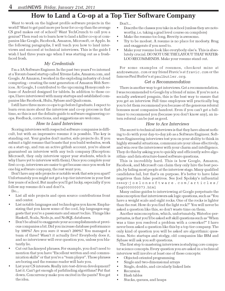# How to Land a Co-op at a Top Tier Software Company

Want to work on the highest profile software projects in the world? Want to get paid more per hour for co-op than the average CS grad makes out of school? Want TechCrunch to call you a genius? Then read on to learn how to land a killer co-op at companies like Google, Facebook, Amazon, Microsoft, or Apple. In the following paragraphs, I will teach you how to land interviews and succeed at technical interviews. This is the guide I wish I had three years ago when I was starting out as a freshfaced frosh.

### My Credentials

I'm a 3A Software Engineer. In the past two years I've interned at a Toronto based startup called Xtreme Labs, Amazon.com, and Google. At Amazon, I worked in the exploding industry of cloud computing - creating the next generation of Amazon Web Services. At Google, I contributed to the upcoming Honeycomb release of Android designed for tablets. In addition to these coops, I have interviewed with many startups and established companies like Facebook, Hulu, Sybase and Qualcomm.

I still have three more co-ops to go before I graduate. I expect to learn even more about the interview and co-op process in that time, so this is not the definite guide to software engineering coops. Feedback, corrections, and suggestions are welcome.

### How to Land Interviews

Scoring interviews with respected software companies is difficult, but with an impressive resume it is possible. The key is standing out. Your grades don't matter, side projects do. If you submit a tight resume that boasts that you build websites, work on a start-up, and run an active github account, you're almost guaranteed an interview with any tech company (Exception: Microsoft, they only interview upper year students, which is why I have yet to interview with them). Once you complete your first co-op, interviews are easier to get because once you work for one big software company, the rest want you.

Don't have any side projects or notable work that sets you apart? Unfortunately you might not get a top-tier interview in your first few years of school. But maybe you'll get lucky, especially if you follow my resume do's and don't's.

Do...

- List all side projects and open source contributions front and center.
- List notable languages and technologies you know. Emphasizing that you know some of the cool, hip languages suggests that you're a passionate and smart techie. Things like Haskell, Scala, Node.js, and NoSQL databases.
- Don't be afraid to exaggerate your accomplishments at previous companies a bit. Did you increase database performance by 100%? Are you sure it wasn't 200%? You managed a team of three? Wasn't it actually five? Everybody does it, and no interviewer will ever question you, unless you blatantly lie.
- Cut out hackneyed phrases. For example, you don't need to mention that you have "Excellent written and oral communication skills" or that you're a "team player". Those phrases are boring and the resume reader will hate you.
- List your CS interests. Really into test-driven development? List it. Can't get enough of pathfinding algorithms? Put that down. Concurrency make you excited in the pants? You get the idea.

### Don't...

- Describe the classes you take in school (unless they are noteworthy, i.e. taking a grad level course on compilers)
- Make the resume too long. Brevity is awesome.
- Try to be modest. A resume is no place for modesty. Brag and exaggerate if you need to.
- Make your resume look like everybody else's. This is absolutely crucial. DO NOT USE THE LAYOUT THAT WATER-LOO RECOMMENDS. Make your resume stand out.

For some examples of resumes, checkout mine at andrewmunn.com or my friend Fravic's at fravic.com or the famous Paul Butler's at paulbutler.org.

### Get a Recommendation

There is another way to get interviews. Get a recommendation. I was recommended to Google by a friend of mine. If you're not a socially awkward penguin, this is the best way to ensure that you get an interview. Full time employees will practically beg you to let them recommend you because of the generous referral bonuses most companies handout. Even if you can't get a fulltimer to recommend you (because you don't know any), an intern referral can be just as good.

### How to Ace Interviews

The secret to technical interviews is that they have almost nothing to do with your day-to-day job as a Software Engineer. Software Engineering interviews test you on your ability to think in highly stressful situations, communicate your ideas effectively, and win over the interviewer with your charm and intelligence. They do this by asking you to quickly and efficiently solve algorithm- and data structure-based software questions.

This is incredibly hard. This is how Google, Amazon, Facebook, and Microsoft can claim they only hire the best people, by failing most people at the interview stage. Many qualified candidates fail, but that's on purpose. It's better to have false negatives than false positives. See Joel Spolsky's influential essay:joelonsoftware.com/articles/ fog0000000073.html

Many online guides to interviewing at Google perpetuate the misconception that interviewers ask logic questions, such as "You have a weight scale and eight rocks. One of the rocks is lighter than the rest. How do you find the light rock?" You will never be asked a question like this, so don't waste time on them.

Another misconception, which, unfortunately, Waterloo perpetuates, is that you'll be asked soft skill questions such as "When was a time you resolved a problem with a coworker?" I have never been asked a question like this by a top tier company. The only kind of question you will be asked are algorithmic questions. Note: startups and stodgy, old companies like IBM and Sybase will ask you soft questions.

The first step to mastering interviews is studying core computer science concepts. Every question you are asked in a technical interview will involve at least one of these concepts:

- Objected-oriented programming
- Single and two-dimensional arrays
- Single, double, and circularly linked lists
- Recursion
- Hash tables
- Stacks, queues, and heaps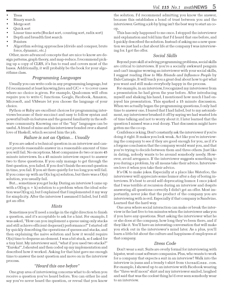- Trees
- Binary search
- Merge sort
- Quick sort
- Linear time sorts (Bucket sort, counting sort, radix sort)
- Depth and breadth first search
- Pointers
- Algorithm solving approaches (divide and conquer, brute force, dynamic, etc.)

Other, more advanced concepts that are nice to know are design patterns, graph theory, and map-reduce. I recommend picking up a copy of CLRS, it's fun to read and covers most of the bases. Additionally, it will probably be the book for your algorithms class.

### Programming Languages

Usually you can write code in any programming language, but I'd recommend at least knowing Java and C/C++ to cover cases where no choice is given. For example, Qualcomm will often require you to write C functions. Google, Facebook, Amazon, Microsoft, and VMware let you choose the language of your choice.

Python or Ruby are excellent choices for programming interviews because of their succinct and easy to follow syntax and powerful built-in features and the general familiarity in the software community. Knowing one of the "hip" languages can be useful. A friend of mine and his interviewer bonded over a shared love of Haskell, which secured him the job.

### Failure is not an Option... Usually

If you are asked a technical question in an interview and cannot provide reasonable answer in a reasonable amount of time you will fail. No exceptions. Most companies do two or more 45 minute interviews. In a 45 minute interview expect to answer two to three questions. If you only manage to get through the first question, you failed. If you don't finish the second question in time, you fail. If you sit there quietly for too long you will fail. If you come up with an  $O(n \log n)$  solution, but there was a  $O(n)$ solution, you usually fail.

But... sometimes you get lucky. During an interview I came up with a  $O(\log n + k)$  solution to a problem when the ideal solution was O(log n), but I explained that I implemented it my way for simplicity. After the interview I assumed I failed, but I still got an offer.

### Hints

Sometimes you'll need a nudge in the right direction to finish a question, and it's acceptable to ask for a hint. For example, I was asked, "How can you implement a queue using only stacks and still achieve efficient dequeue() performance?" I started off by quickly describing the operations of queues and stacks, and then explaining the naive solution and how it would require O(n) time to dequeue an element. I was a bit stuck, so I asked for a tiny hint. My interviewer said, "what if you used two stacks?" "Eureka!", I shouted and then coded up my implementation and described how it worked. Asking for that hint gave me enough time to answer the next question and move on in the interview process.

### "Heard this one before"

One gray area of interviewing concerns what to do when you receive a question you've heard before. You can either lie and say you've never heard the question, or reveal that you know

the solution. I'd recommend admitting you know the answer, because this establishes a bond of trust between you and the interviewer. Getting a job by lying isn't the best way to start an coop.

This has only happened to me once. I stopped the interviewer mid explanation and told him that I'd heard that one before, and I quickly described the solution. Instead of asking me a new question we just had a chat about life at the company I was interviewing for. I got the offer.

### Social Skills

Beyond pure skill at solving programming problems, social skills are critical to interviews. If you're a socially awkward penguin and can't imagine wowing an interviewer with your social skills, I suggest reading How to Win Friends and Influence People by Dale Carnegie. It will teach you a great deal about how to get what you want and still make everybody happy in the process.

For example, in an interview, I recognized my interviewer from a presentation he had given the year before. After introducing myself and shaking his hand, I mentioned how much I had enjoyed his presentation. This sparked a 15 minute discussion. When we actually began the programming questions, I only had time to answer one. I feared that I had failed, but to my astonishment, my interviewer brushed it off by saying we had wasted lots of time talking and not to worry about it. I later learned that the question I missed was a real doozy. That discussion might have gotten me the co-op.

Confidence is king. Don't constantly ask the interviewer if you're doing it right. It makes you look weak. Act like you're interviewing the company to see if they are good enough for you, as if it's a forgone conclusion that the company would want you, and that you're trying to decide between them and three others. Just like in dating, nobody wants to be around somebody needy. However, avoid arrogance. If the interviewer suggests something to you during a problem, by all means take their advice. Interviewers love it when you take their advice.

It's OK to make jokes. Especially at a place like Waterloo, the interviewer will appreciate some humor after a day of boring interviews. It's best to avoid self-deprecating humor. I once joked that I was terrible at recursion during an interview and despite answering all questions correctly I didn't get an offer. Most importantly, never joke that the product of the company you are interviewing with is evil. Especially if that company is Sandvine. Learned that the hard way.

One area where social interaction can make or break the interview is the last five to ten minutes when the interviewer asks you if you have any questions. Start asking the interviewer what he or she does at the company, how long they've been there, and if they like it. You'll have an interesting conversation that will make you stick out in the interviewer's mind later. As a plus, you'll learn a little bit about the culture and happiness of employees at that company.

### Dress Code

Don't wear a suit. Suits are overly formal for interviewing with hipster, west-coast software companies. Plus, who wants to work for a company that expects a suit in an interview? Walk into the interview in jeans and a trendy t-shirt from threadless.com. For example, I showed up to an interview with Facebook wearing the "three wolf moon" shirt and my interviewer smiled, laughed and said that was the coolest thing he'd ever seen somebody wear to an interview.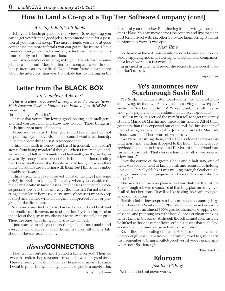# How to Land a Co-op at a Top Tier Software Company (cont)

### A rising tide lifts all Boats

Help your friends prepare for interviews. Do everything you can to get your friends good jobs. Recommend them for a position at your current co-op. The more friends you have at good companies the more referrals you can get in the future. I have friends at every major tech company, which will help when it is time to apply for full time positions.

Even when you're competing with your friends for the same job, help them out. Most top-tier tech companies will hire as many interns as are qualified. Even if your friend does a better job in the interview than you, that likely has no bearing on the

# Letter From the **BLACK BOX**

### To: "Lonely in Waterloo"

[This is a letter we received in response to the article "Every Math Personal Ever" in Volume 114, Issue 4 of math **NEWS** — GroovyED]

Dear "Lonely in Waterloo",

It's nice that you're "fun loving, good looking, and intelligent" and that you are clean and know how to cook. Those things are fairly important most of the time.

Before you read any further, you should know that I am not responding to your advertisement because I want a relationship. I just have something to say in response to it.

I think that math is lonely (and hard) in general. That doesn't stop it from being wonderful though. When I first read your advertisement, I felt sad. Sometimes I feel really, really, really, really, really lonely. I have lots of friends, but it's a different feeling that I can't really describe. People usually feel good when they know that others are suffering with them, but I think that's unbelievably backwards.

I think (from what I've observed) most of the guys (and some girls?) in math are lonely. Especially when you consider the male:female ratio in most classes, loneliness is an inevitable consequence (however, there is always the case that I'm not considering in this letter, homosexuality, simply because I want to keep it short and cannot write an elegant, compressed letter or program for the life of me).

And even consider that ratio, I myself am a girl and I still feel the loneliness. However, most of the time I get the impression that a lot of the guys in my classes are really antisocial/hate girls. There are ones who still won't talk to me. Oh well.

I just wanted to tell you these things. Loneliness sucks and everyone experiences it, even though we don't all openly talk about it. Have an excellent day!

# **dissedCONNECTIONS** where near Scarborough! The Hee Ho dissert of the Hee Ho dissert of the Hee Ho dissert of the Hee Ho

Hey, we met outside and I pulled a knife on you. Then we went to a coffee shop for some drinks and it was a magical time. I haven't seen you walking that way home ever since. This time I want to pull a bludgeon on you and take you to a movie after.

Fly by night man

results of your interview. Plus, having friends with you on a coop is a blast. You can move across the country and live together. Last term I lived with six other Software Engineering students in Mountain View. It was epic.

### Next Time

So there you have it. You should be now be prepared to succeed at applying and interviewing with top tier tech companies. It's a lot of work, but it's worth it.

In my next article I will reveal the secrets to a successful coop. Don't miss it.

import this

# Ye's announces new Scarborough Sushi Roll

Ye's Sushi, a favourite stop for students, just got a lot more appetizing, as the owners have begun serving a new type of sushi: the Scarborough Roll. A Ye's original, this roll may be enough to pay a visit to the restaurant before you graduate!

Just last week, Ye's served the very first roll to eager university student Marco Di Martini and three of his friends. All of them got more than they expected out of the roll. Within seconds of the roll being placed on the table, Jonathan Kuntz, Di Martini's friend, was shot. There were no witnesses.

"We were just sitting there, and all of a sudden there was this loud noise and Jonathan dropped to the floor... blood was everywhere," commented an excited Di Martini as his friend was rushed to hospital. "That was one hardcore roll, so we ordered a few more."

Over the course of the group's hour and a half stay, one of them was robbed, held at knife point, and accused of holding up a 7-11. "It really felt like I was walking through Scarborough; my girlfriend even got pregnant and we don't know who the father is."

The Ye's franchise was pleased to hear that the trial of the Scarborough roll was so successful that they plan on bringing it to all of their locations. "It will be like having the Scarborough at all of our locations."

Health officials have expressed concern about consuming large quantities of the Scarborough. "People with increased exposure to the roll have an almost 300% greater chance of dropping out of school and pumping gas at the local Sunoco or chain smoking with a knife in the back." Although the roll cannot conclusively be linked to these adverse affects, officials advise that sushi lovers use their common sense in their consumption.

Regardless of the alleged health risks associated with the Scarborough, sushi fanatics will definitely need to give it a try. Just remember to bring a bullet-proof vest if you're going anywhere near Scarborough!

# Eduroam

Just like PDEng! Well intended but never works.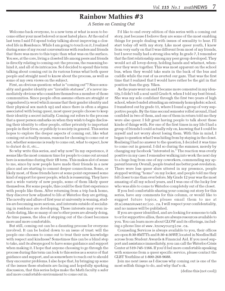# Rainbow Mathies #3

### A Series on Coming Out

Welcome back everyone, to a new term at what is soon to become either your most beloved or most hated place. At the end of last term I said I'd spend today talking about improving a closeted life in Residence. While I am going to touch on it, I realized during some of my recent conversations with readers and friends that there was more to this topic than what was on the surface. You see, at the core, living a closeted life among peers and friends is directly relating to coming out: the process, the reasoning behind it, and all of its intricacies. So I decided to spend this term talking about coming out in its various forms what both queer people and straight need to know about the process, as well as some of my own views on the subject.

First, an obvious question: what is "coming out"? Since sexuality and gender identity are "invisible statuses", it's never immediately obvious who considers themselves a member of those communities. Since people often assume others are straight or cisgendered (a word which means that their gender identity and their physical sex match up) and since there is often a stigma associated with being queer, most queer people choose to keep their identity a secret initially. Coming out refers to the process that a queer person embarks on when they wish to begin disclosing their identity to other people, either privately to important people in their lives, or publicly to society in general. This series hopes to explore the deeper aspects of coming out, like what coming out actually means, reasons for choosing to come out or not, whether someone is ready to come out, what to expect, how to do/not do it, etc...

So why write this series, and why now? In my experience, it seems like the most common time for people to come out around here is sometime during their 1B term. This makes alot of sense to me, since by now people have made their friends in a new place and are starting to cement deeper connections. Some, or likely most, of these friends have at some point expressed some kind of support for queer people, which is reassuring. They have met a wide variety of new people, some of them likely queer themselves. For some people, this could be their first experience with people like them. After returning from a trip back home, they discover how adjusted to life at Waterloo they are getting. The novelty and allure of first year at university is waning, studies are becoming more serious, and interests outside of socializing in residence are developing. These interests may even include dating, like so many of one's other peers are already doing. As time passes, the idea of stepping out of the closet becomes more and more comfortable.

But still, coming out can be a daunting process for everyone involved. It can be boiled down to an issue of trust: will the people one chooses to come out to treat their new knowledge with respect and kindness? Sometimes this can be a blind step to take, and its always good to have some guidance and support when making it. I hope that anyone choosing to go through the process during this term can look to this series as a source of that guidance and support, and as somewhere to reach out to should they encounter problems. I also hope that, by bringing up some of the issues these students are facing and hopefully sparking discussion, that this series helps make the Math faculty a safer and more comfortable environment to come out in.

I'd like to end every edition of this series with a coming out story, just because I believe they are some of the most enabling things for people dealing with issues of sexuality to hear. I'll start today off with my story. Like most queer youth, I knew from very early on that I was different from most of my friends, but I never really had a strong idea why. In grade 7, I remember that the first relationship among my peer group developed. They would act all lovey-dovey, holding hands and whatnot, whenever they were together. This was most apparent on the school bus, when they would take seats in the back of the bus and cuddle while the rest of us averted our gaze. That was the first time that I realized that I would have rather be the girl in that position than the guy. Yikes.

As the years went on and I became more cemented in my identity, I didn't tell a soul until Grade 9, when I told my best friend. She was my sole confidant through the first two years of high school, where I ended attending an extremely homophobic school. I transfered out by grade 11, where I found a group of very supportive people. By the time second semester rolled around, I had confided in two of them, and one of them in return told me they were also queer. I felt great having people to talk about these kinds of things with. For one of the first times in my life I had a group of friends I could actually rely on, knowing that I could be myself and not worry about losing them. With this in mind, I began to question what I was hiding from by staying in the closet. Realising I had no answer to the question, I decided it was time to come out in general. I did so during the summer, merely by changing my facebook "interested in." The reaction was overly positive in my case: I remember walking into work the next day to a huge hug from one of my coworkers, commending my apparent bravery. Overall, people treated me better post-revelation. There were less queer slurs uttered in my presence, people stopped writing "homo" on my locker, and people told me they felt closer to me than ever before. My Grade 12 year was the most amazing of all my school years, and I was one of the lucky few who was able to come to Waterloo completely out of the closet.

If you feel comfortable sharing your coming out story for this series, have any comments for this column, or would like to suggest future topics, please email them to me at dtaleman@uwaterloo.ca. I will respect your confidentiality, and no names will be published.

If you are queer identified, and are looking for someone to talk to or for supportive allies, there are always resources available to you. You can learn more about GLOW and its offerings, including a phone line at www.knowyourglow.ca.

Counseling Services is always available to you, their offices are open 8:30-8MTTh and 8:30-4:30WF, located in Needles Hall across from Student Awards & Financial Aid. If you need support and assistance immediately, you can call the Waterloo Crisis Center at 519-745-1166. If you'd feel more comfortable speaking with someone from a queer specific service, please contact the GLBT Youthline at 1-800-268-9688.

Join me next issue as I discuss why coming out is one of the most selfish things to do, and why that's ok.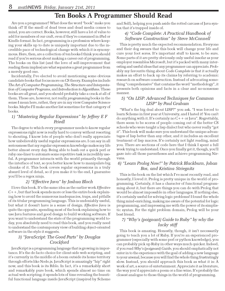# Ten Books A Programmer Should Read

Are you a programmer? What does the word "book" make you think of? If the smell of dead trees and dead media comes to mind, you are correct. Books, however, still have a lot of value to add for members of our craft, even if they're consumed in iPad or Kindle format. In fact, programming is a profession where keeping your skills up to date is uniquely important due to the incredible pace of technological change with which it is synonymous. Here, then, are a collection of ten books I think you should read if you're serious about making a career out of programming. The books on this list (and the love of self-improvement that reading them implies) are what separates a great programmer from a merely good one.

Incidentally, I've elected to avoid mentioning some obvious candidate books that focus more on CS theory. Examples include The Art of Computer Programming, The Structure and Interpretation of Computer Programs, and Introduction to Algorithms. These books are all great, and you should probably take a crack at all of them. These are, however, not really programming books in the sense I mean here, rather, they are in my view *Computer Science* books. Maybe I'll make another list sometime for that category of books.

### 1) "Mastering Regular Expressions" by Jeffrey E F Friedl

The degree to which every programmer needs to know regular expressions right now is really hard to convey without resorting to shouting. I know lots of people who don't really appreciate how unbelievably useful regular expressions are. I can say in all seriousness that my regular expression knowledge makes my life better almost every day. Being able to bash out a quick perl or ruby one-liner to automate some repetitive task is incredibly useful. A programmer interacts with the world primarily through the interface of text, so you better know how to manipulate big chunks of it. This book covers regular expressions in a truly absurd level of detail, so if you make it to the end, I guarantee you'll be a regex ninja.

### 2) "Effective Java" by Joshua Bloch

I love this book. It's the same idea as the earlier work Effective  $C_{++}$ , but that book spends more or less the entire book explaining how to avoid the numerous inadequacies, traps, and pitfalls of its titular programming language. This is undeniably useful, but what it doesn't have is a sense of design. Effective Java is quite the opposite, spending most of the book explaining how to use Java features and good design to build working software. If you want to understand the state of the programming world today, you absolutely need to read this book, and you really need to understand the contemporary view of building object-oriented software in the style it suggests.

# 3) "JavaScript: The Good Parts" by Douglas Crockford

JavaScript is a programming language that is growing in importance. It's the de facto choice for client-side web scripting, and it's currently in the middle of a boom outside its home territory through efforts like Node.js. JavaScript is amazingly "hip" right now, and this book is its Bible. In fact, it's a remarkably short and remarkably pure book, which spends almost no time on actual web scripting; it spends lots of time revealing the beautiful functional language inside JavaScript (inspired by Scheme

and Self), helping you push aside the rotted carcass of Java syntax that it's trapped inside of.

### 4) "Code Complete: A Practical Handbook of Software Construction" by Steve McConnell

This is pretty much the expected recommendation. Everyone and their dog swears that this book will change your life and cure your foot sores. It's important stuff to know, to be sure. Some parts of it are pretty obviously only useful insofar as your employer resembles Microsoft, but it's packed with many interesting and useful ideas that any programmer can appreciate. Probably my favourite thing about Code Complete is that it actually makes an effort to back up its claims by referring to academic research on software construction. Instead of advocating something "comprehensive" that contains the word "methodology", it presents both opinions and facts in a clear and no-nonsense manner.

### 5) "On LISP: Advanced Techniques for Common LISP" by Paul Graham

"What's the big deal about LISP?" you ask. "I was forced to learn Scheme in first year at University, and I hated it! You can't do anything with it. It's certainly no  $C++$  or Java". Regrettably, there seem to be scores of people coming out of the better CS schools who were taught a lisp dialect but who never really "got it". This book will make sure you understand the unique advantages of lisp better than any other, and it includes an excellent treatment of lisp macros. It's certainly not light reading, mind you. There are sections of code here that I think I spent a full week trying to understand. Once you finally get it, though, you'll gaze into all those parentheses and achieve programming Nirvana.

### 6) "Learn Prolog Now!" by Patrick Blackburn, Johan Bos, and Kristina Striegnitz

This is the book on the list which I've most recently read, and honestly, I loved it. Prolog is pretty unique in the world of programming. Certainly, it has a character of functional programming about it, but there are things you can do with Prolog that would be almost impossible in other languages. If nothing else, it's certainly useful for solving logic problems! I found the whole thing mind-enriching, making me aware of the potential for logic programming, and impressing me with the power of its simplistic syntax. For the right problem domain, Prolog will be your best friend.

### 7) "Why's (poignant) Guide to Ruby" by why the lucky stiff

This book is amazing. Honestly, though, it isn't necessarily going to teach you a lot of Ruby. If you're an experienced programmer (especially with some perl or python knowledge), you can probably pick up Ruby in other ways much quicker. Indeed, if you read Why's (poignant) Guide, you should emphatically not enter in to the experience with the goal of adding a new language to your arsenal, because you will find the whole thing frustratingly slow. Instead, you should approach this book as what it is: A work of art, a source of entertainment. Appreciate it as literature, the way you'd appreciate a poem or a fine wine. It's probably the closest analogue to those things in the world of programming.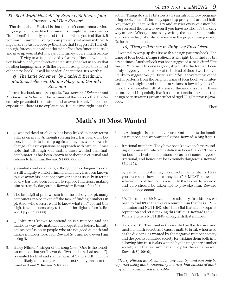# 8) "Real World Haskell" by Bryan O'Sullivan, John Goerzen, and Don Stewart

The thing about Haskell is that it doesn't compromise. More forgiving languages like Common Lisp might be described as "functional", but only some of the time, when you feel like it. If you learn Common Lisp, you can probably get away with writing it like it's just verbose python (not that I suggest it). Haskell, though, forces you to adopt the side-effect free functional style and give up your stateful ways cold turkey. I very much recommend it. Trying to write a piece of software in Haskell will make you break out of your object-oriented straightjacket in a way that no other language can (with the arguable exception of the subject of the next book). It will be harder. Accept that. It's worth it.

## 9) "The Little Schemer" by Daniel P. Friedman, Matthias Felleisen, Duane Bibby, and Gerald J. Sussman

I love this book and its sequels, The Seasoned Schemer and The Reasoned Schemer. The hallmark of the books is that they're entirely presented in question-and-answer format. There is no exposition, there is no explanation. It just dives right into the

### action. Things do start a bit slowly (it's an introductory programming book, after all), but they speed up pretty fast around halfway through. Keep with it. Try and answer every question before you read the answer, even if you have no idea. It's the only way to learn. When you are ready, writing the metacircular evaluator is something of a rite of passage in the programming world. Go forth and conquer.

### 10) "Design Patterns in Ruby" by Russ Olsen

I wanted to wrap up this list with a design patterns book. The Gang of Four book, Design Patterns is all right, but I find it a bit dry at times. Another book you hear suggested a lot is Head First Design Patterns. This one is good, if you like the format. I certainly suggest you take a look at it. Instead of those two, though, I'd like to suggest Design Patterns in Ruby. It covers most of the useful patterns from the original Gang of Four book with interesting new insights, and then it introduces a few ruby-specific ones. It's an excellent illustration of the modern role of these patterns, and I especially like it because it made me realize that design patterns aren't just an artifact of rigid "Big Enterprise Java" code.

Thor

# Math's 10 Most Wanted

- 1. x, wanted dead or alive. x has been linked to many terror attacks on math. Although solving for x has been done before, he tends to turn up again and again. x is known to change values in equations, so approach with caution! Please note that although x is math's most wanted criminal, combinatorics has been known to harbor this criminal and refuses to find him. Reward \$1,000,000,000.
- 2. y, wanted dead or alive. y, although not as dangerous as x, is still a highly wanted criminal in math. y has been known to give away his location; however, this is usually in terms of x. y has also been known to replace functions, making him extremely dangerous. Reward = Reward for  $x/10$
- 3. The last digit of pi. If we can find the last digit of pi, many computers can be taken off the task of finding numbers in pi. Also, who doesn't want to know what it is? To find this digit, it will be necessary to find all the digits before it. Reward \$(pi \* 100000)
- 4.  $\;$   $\;$   $\;$  Infinity is known to pretend he is a number, and has made his way into mathematical equations before. Infinity causes confusion to people who are not good at math and makes numbers look bad. Reward \$0 , arg, now even I am doing it.
- 5. Harry Nilsson\*, singer of the song One ("One is the loneliest number that you'll ever do. Two can be as bad as one"), is wanted for libel and slander against 1 and 2. Although he is not likely to be dangerous, he is extremely mean to the number 1 and 2. Reward \$100,000
- 6. 1. Although 1 is not a dangerous criminal, he is the loneliest number, and we want to fix that. Reward: a hug from 1.
- 7. Irrational numbers. They have been known to force rounding and cause infinite computation in loops that don't check for bounds. Irrational numbers are, as their name suggests, irrational, and hence can be extremely dangerous. Reward \$3.1415?.
- 8. 8, wanted for questioning in connection with infinity. Have you ever seen how close they look? 8 MUST know the whereabouts of the infamous infinity. 8 is known to be crazy, and care should be taken not to provoke him. Reward \$888,888,888.88888?
- 9. 69. The number 69 is wanted for adultery. In addition, we need to find 69 so that we can remind him that he is ONLY a number and NOTHING else. It is vital that math keeps its reputation and 69 is making this difficult. Reward \$69.69. What? There is NOTHING wrong with that number.
- 10. 0 a.k.a. -0, 0i. The number 0 is wanted by the division and modular math societies. 0 causes math to break when used as the divisor. 0 is wanted by the negative number society and the positive number society for tricking them both into allowing him in. 0 is also wanted by the imaginary number society and the real number society for the same reason. Reward: \$(100/-0i)

\*Harry Nilsson is not wanted in any country, and can only be captured using math. Attempting to arrest him outside of math may end up getting you in trouble.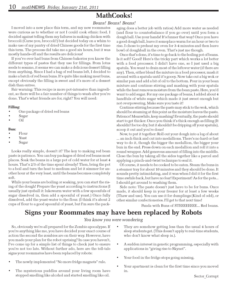# MathCooks!

### Beans! Beans! Beans!

I moved into a new place this term, and my new roommates were curious as to whether or not I could cook ethnic food. I decided against telling them my failures in making chicken with broccoli (Curse you, broccoli!) but decided today on a whim to make use of my pantry of dried Chinese goods for the first time this term. The process did take me a good six hours, but it was mostly hands-off and the results are delicious!

If you've ever had buns from Chinese bakeries you know the different types of pastes that they use for fillings. From lotus seeds to sesame, it seems we can make a delicious dessert filling from anything. Since I had a bag of red beans left, I decided to make a batch of red bean buns. It's quite like making meat buns, except obviously the filling is sweet and it's more of a dessert dish than entree.

Fair warning: This recipe is more pot-intensive than ingredient, so there will be a fair number of things to wash after you're done. That's what friends are for, right? You will need:

### Filling:

- One package of dried red beans
- Sugar
- Oil

### Bun:

- Flour
- Yeast
- Sugar

Looks really simple, doesn't it? The key to making red bean paste is patience. You can buy packages of dried red beans most places. Soak the beans in a large pot of cold water for at least 4 hours. That's 2/3 of the time spent already! Then, bring the pot to a boil and turn the heat to medium and let it simmer for another hour at the very least, until the beans becomes completely soft.

While your beans are boiling or soaking, you can start the rising of the dough! Prepare the yeast according to instructions (I usually just eyeball it: lukewarm water with a few spoonfuls of sugar dissolved in, then add a spoonful of yeast.) Once fully dissolved, add the yeast-water to the flour. (I think it's about 2 cups of flour to a good spoonful of yeast, but I'm sure the pack-

aging does a better job with ratios) Add more water as needed (and flour to counterbalance if you go over) until you form a dough ball. Use your hands! It's funner that way! Once you have a good dough ball, leave it someplace warm for an hour or two to rise. I chose to preheat my oven for 3-4 minutes and then leave bowl of doughball in the oven. That's just me though.

Once that's done, it's time to go back to the boiling pot of beans. Is it soft? Good! Here's the tricky part which works a lot better with a food processor. I didn't have one, so I just used a big spatula. You want to drain most of the leftover water (if there are any). Then, either blend the mixture in a food processor, mash it around with a spatula until it's gooey. Now take out a big wok or similar pan and add a bit of oil to the bottom. Pour in your bean mixture and continue stirring and mashing with your spatula while the heat removes moisture from the bean paste. Here, you'd want to add sugar. For my one package of beans, I added about 4 handfuls of white sugar which made it just sweet enough but not overpowering. Make sure you taste it!

Continue stirring because the paste may stick to the wok, which should be steaming at this point as the moisture leaves the paste. Patience! Meanwhile, keep mashing! Eventually, the paste should start to get thicker. Once you think it's thick enough as filling (It shouldn't be too dry, but it shouldn't be dripping off your spatula), scoop it out and you're done!

Now, to put it together: Roll out your dough into a log of about ... an inch thick and cut into medallions. There's no hard or fast way to do it, though the bigger the medallion, the bigger your bun in the end. Press down on each medallion and roll it into a round wrapper. Add generous amount of filling into the middle. Close the bun by taking all the sides together like a parcel and applying a pinch-and-twist technique to seal it.

Of course, it needs to be cooked to be eaten. Steam the buns in a steamer tray for about 10 minutes and they should be done. It sounds pretty intimidating, and it was when I did it for the first time awhile back, but have no fear! Experiment! As for the pots... I should get around to washing them.

Side note: The paste doesn't just have to be for buns. Once made, it should keep in your freezer for at least a few weeks (Thaw and use). You can use it for dumplings (Kind of odd), or other similar confectioneries. I'll get to that next time!

Panda with Buns of STEEEEEEEE... Red beans.

# Signs your Roommates may have been replaced by Robots

You know you were wondering

So, obviously we're all prepared for the Zombie apocalypse. If you're anything like me, you have decided your exact course of action the second the zombies are on their way. However, have you made your plan for the robot uprising? In case you haven't, I've come up for a simple list of things to check just to ensure you're not too late. Without further ado, here are the tell-tale signs your roommates have been replaced by robots:

- The newly implemented "No more fridge magnets" rule.
- The mysterious puddles around your living room have stopped smelling like alcohol and started smelling like oil.

They are somehow getting less than the usual 4 hours of sleep students get. (This doesn't apply to real-time students, who don't know what sleep is.).

- A sudden interest in genetic programming, especially with applications in "giving rise to Skynet".
- Your food in the fridge stops going missing.
- Your apartment is clean for the first time since you moved in.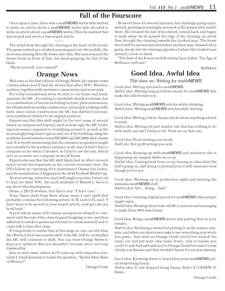# Fall of the Fourscore

Once upon a time, there was a mathNEWS writer who started to write an article about a mathNEWS writer who decided to write an article about a mathNEWS writer. Then he realized that was stupid and wrote a less stupid article.

——- The wind blew through the clearing in the heart of the forest. The grass rustled as a cloaked man stepped into the middle, the noon sun shining directly down onto him. His eyes scanned the dense forest in front of him, his hand gripping the hilt of his blade.

"Show yourself, you coward!"

# Orange News

Welcome to the first edition of Orange News, the unique news column where you'll find the stories that affect YOU, Waterloo mathies, together with exclusive commentary and more junk.

For today's sensational story we turn to our home and headquarters, the MC. According to unreliable drunk scientists, due to a combination of factors including tectonic plate movements, the vibrations from nearby construction, and people pushing really hard, since initial construction the MC has shifted 6 micrometers northwest relative to its original position.

Experts say that this shift might be the root cause of several issues on campus and beyond, such as how ugly the MC building now seems compared to everything around it, as well as the increasingly long lines to get in and out of the building using the southern doors between rooms MC2065 and MC2066 after classes end. It is worth mentioning that the entrance in question might not actually be the southern entrance at all, since I didn't have a compass on me when I checked, so I had to use the sun, which isn't as accurate as a compass, as we all know.

Experts also say that the MC shift likely had no effect on such major recent developments as the current economic state, the US's failure in capturing 9/11 mastermind Osama bin Laden, and the humiliation of England in the 2010 Football World Cup.

As your strong, attractive (and still single) reporter, I went out to find out what YOU, the math students of Waterloo, have to say about this development.

Diane, a 2B CS student, had this to say: "I don't care."

Some Asian dude from Stats whose name I can't spell (but probably contains the following letters: X, H, and/or Z), said, "I don't want to be quoted in your stupid article, now give me my book back."

A prof whose name will remain anonymous refused to comment until the rest of the class stopped laughing at me, and then asked me to stick to questions relevant to course material and to come talk to him after class.

It's important to realize that at this stage no one can tell what the effects of the 6-micrometer shift of the MC will be, or whether the MC will continue to shift. You can trust Orange News to keep you updated. But you shouldn't, because we're not very trustworthy.

Join us next issue, where we'll team-up with superstar journalist J. Jonah Jameson to tackle the question, "Spider-Man: Hero or Menace?"

Orange Crush

He stood there for several minutes, his challenge going unanswered, growing increasingly annoyed at the person who wasn't there. He released the hilt of his sword, turned back and began to walk away. As he passed the edge of the clearing, an arrow flew through the clearing towards the cloaked man. The forest stood still for several minutes before another man, dressed all in green, strode into the clearing opposite of where the cloaked man entered, a bow in hand.

"The first of the Fourscore Fellowship have fallen. The Age of Brilliance will end."

RedMetal

# Good Idea, Awful Idea

### This time on: Writing for mathNEWS

Good idea: Writing articles for mathNEWS.

Awful idea: Writing long pointless emails for mathNEWS that make the editors hate you.

Good idea: Writing *math* NEWS articles while drinking. Awful idea: Writing mathNEWS articles while driving.

Good idea: Writing a short, funny article about anything related to math.

Awful idea: Writing a 6-part zombie tale that has nothing to do with math and isn't funny at all. Trust me on that one.

Good idea: Proof-writing your work. Awfl ide: Not proff-wrting you wok.

Good idea: Keeping up with *math* NEWS and whatever else is happening on campus while on co-op.

Awful idea: Coming back from co-op, having no idea what the hell's going on, and trying to pretend you're still awesome even though you're not.

Good idea: Showing up to production night and meeting the awesome mathNEWS stuff. Awful idea: Not... doing... that?

Good idea: Creating original pieces for mathNEWS other people might enjoy.

Awful idea: Stealing ideas from old 90's cartoons and managing to make them 90% less funny.

Good idea: Being a mathNEWS writer and putting that on your resume.

Awful idea: Not being a writer but putting it on the resume anyway, and when an interviewer asks to see something you wrote you panic, then steal an Orange Crush article but scratch the name out and put your own name down, only to realize you could've just lied and said you're Orange Crush because it's just clearly a nickname and they wouldn't know it's not you anyway.

Good idea: Knowing when to stop before your mathNEWS article stops being funny.

Awful idea: It just stopped being funny, didn't it? I KNEW it! Damn.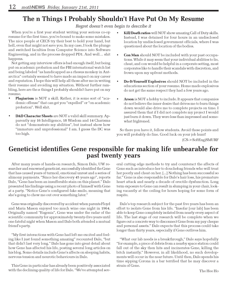# The n Things I Probably Shouldn't Have Put On My Resume

Regret doesn't even begin to describe it

When you're a first year student writing your serious co-op resume for the first time, you're bound to make some mistakes. The nice people at CECS try their best to hold your hand, but hell, even that might not save you. In my case, I took the plunge and switched faculties from Computer Science into Software Engineering, and in the process dropped PD1. And well… shit happens.

Not getting any interview offers is bad enough itself, but being put on academic probation and the FBI international watch list and being labeled "as handicapped as a rhesus monkey in Antarctica" certainly seemed to have made an impact on my career and reputation. I hope this will help all those after me in writing their resume and avoiding my situation. Without further rambling, here are the n things I probably shouldn't have put on my resume.

- **Plagiarism** is NOT a skill. Rather, it is some sort of "academic offense" that can get you "expelled" or "on academic probation". Well shit.
- **D&D Character Sheets** are NOT a valid skill summary. Apparently my 16 Intelligence, 18 Wisdom and 14 Charisma do not "demonstrate my abilities", but instead show how "immature and unprofessional" I am. I guess the DC was too high.
- Kill/Death ratios will NOT show amazing Call of Duty skills. Instead, I was detained for four hours in an undisclosed location by undisclosed government officials, where I was questioned about the location of the bodies.
- Con Man should NOT be included with your past occupations. While it may seem that your individual abilities to lie, cheat, and con would be helpful in a corporate setting, most corporates like to handle their scandals with discretion, and frown upon my upfront methods.
- Do-It-Yourself Explosives should NOT be included in the educations section of your resume. Home made explosives do not get the same respect they had a few years ago.
- Arson is NOT a hobby to include. It appears that companies do not believe the inner desire that drives me to burn things down would also drive me to complete projects on time. I assured them that if I did not complete my project I would just burn it down. They were less than impressed and somewhat frightened.

So there you have it, fellow students. Avoid these points and you will probably do fine. Good luck on your job hunt!

(CS->SoftEng)SMURF

# Geneticist identifies Gene responsible for making life unbearable for past twenty years

After many years of hands-on research, Simon Dale, UW researcher and renowned geneticist, successfully identified the Gene that has caused years of turmoil, emotional unrest and a series of alimony payments. "Since her discovery 45 years ago", reports Dale, "Gene has been an insufferable stain on this planet." Dale presented his findings using a recent photo of himself with Gene at a party. "Notice Gene's configured fake smile, meaning that she's going to chew me out over something later."

Gene was originally discovered by accident when parents Floyd and Maria Mason enjoyed too much wine one night in 1964. Originally named "Eugenia", Gene was under the radar of the scientific community for approximately twenty-five years until one fateful night when Mason and Dale both attended a mutual friend's party.

"My first interactions with Gene had left me excited and feeling like I just found something amazing" recounted Dale, "but that didn't last very long." Dale has gone into great detail about how Gene has affected his life, posting several long articles on his blog. Some details include Gene's affects on sleeping habits, nervous tension and neurotic behaviours in Dale.

This Gene in particular has already been positively associated with the declining quality of life for Dale. "We've attempted several cutting edge methods to try and counteract the affects of Gene such as introduce her to douchebag friends who will treat her poorly and cheat on her. [...] Nothing has been successful so far." Gene is also responsible for Dale's hair loss, his premature heart attack and nearly a decade of erectile dysfunction. Long term exposure to Gene can result in slumping in your chair, looking vacantly at the ceiling for hours hoping for some form of respite.

Dale's top research subject for the past five years has been an effort to isolate Gene from his life. "Insofar [our lab] has been able to keep Gene completely isolated from nearly every aspect of life. The last stage of our research will be complete when we figure out a concrete way to disconnect Gene from my pay cheque and personal assets." Dale expects that this process could take longer than thirty years, especially if Gene outlives him.

"What our lab needs is a breakthrough," Dale says hopefully "for example, a piece of debris from a nearby space station could fall out of the sky then hits and incinerates Gene, killing the bitch instantly." However, in all likelihood, no such developments will occur in the near future. Until then, Dale spends his time sipping Corona in a bar terrified that he may discover a strain of Gene.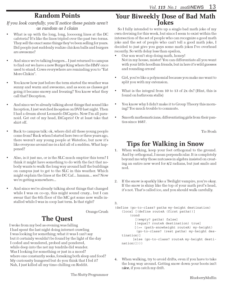# Random Points

# If you look carefully, you'll notice these points aren't as random as I claim

- What is up with the long, long, looooong lines at the DC cafeteria? It's like the lines tripled over the past two terms. They sell the exact same things they've been selling for years. Did people just suddenly realize chicken balls and burgers are awesome?
- And since we're talking burgers... I just returned to campus to find out we have a new Burger King where the HMV once used to stand. Cows everywhere are reminding you to "Eat More Chikin".
- You know how just before the term started the weather was sunny and warm and awesome, and as soon as classes got going it became snowy and freezing? You know what they call that? Deception.
- And since we're already talking about things that sound like Inception, I just watched Inception on DVD last night. Then I had a dream about Leonardo DiCaprio. Now I'm all paranoid. Get out of my head, DiCaprio! Or at least take that shirt off.
- Back to campus talk: ok, where did all these young people come from? Back when I started here two or three years ago, there weren't any young people at Waterloo, but now it's like everyone around me is a kid all of a sudden. What happened?
- Also, is it just me, or is the SLC much emptier this term? I think it might have something to do with the fact that nobody wants to walk the long way around half the buildings on campus just to get to the SLC in this weather. Which might explain the lines at the DC Caf... hmmm... see? Now we're getting somewhere...
- And since we're already talking about things that changed while I was on co-op, this might sound crazy... but I can swear that the 6th floor of the MC got some new walls installed while I was in coop last term. Is that right?

Orange Crush

# The Quest

I woke from my bed as evening was falling I had spent the last night doing internet crawling I was looking for something; what it was I can't say but it certainly wouldn't be found by the light of the day I coded and wondered, probed and pondered, while deep into the net my tendrils did wander. Was I looking for something or just in a mood? where one constantly seeks, forsaking both sleep and food? My curiousity hungered but do you think that I fed it? Nah, I just killed all my time chilling on Reddit.

The Slutty Programmer

# Your Biweekly Dose of Bad Math

So I fully intended to write up a single bad math joke of my own devising for this week, but since I seem to exist within the intersection of the set of people who can recognize a good math joke and the set of people who can't tell a good math joke, I decided to just give you guys some math jokes I've overhead recently. So with delay less than epsilon,

- Our son won't stop doing math, honey! Not in my house, mister! You can differentiate all you want with your little hoodlum friends, but in here it's wild guesses and rounding errors!
- Girl, you're like a polynomial because you make me want to split you with my extension.
- What is the integral from 10 to 13 of  $2x dx$ ? (Hint, this is found on bathroom stalls)
- You know why I didn't make it to Group Theory this morning? Too much trouble to commute.
- Smooth mathematicians, differentiating girls from their panties since 1687.

Tie Frosh

# Tips for Walking in Snow

- 1. When walking, keep your feet orthogonal to the ground. And by orthogonal, I mean perpendicular. It is completely beyond me why those nutcases in algebra insisted on creating an entire new word for  $\pi/2$  radians, but just smile and nod.
- 2. If the snow is sparkly like a Twilight vampire, you're okay. If the snow is shiny like the top of your math prof's head, it's not. That's called ice, and you should walk carefully.
- 3.

```
(define (go-to-class? paths my-height destination)
 (local [(define routeA (first paths))]
      (cond
        [(empty? paths) false]
        [(equal? routeA destination) true]
        [(>= (path-snowheight routeA) my-height)
         (go-to-class? (rest paths) my-height des-
tination)]
       [else (go-to-class? routeA my-height desti-
nation)])))
```
4. When walking, try to avoid drifts, even if you have to take the long way around. Getting snow down your boots isn't nice, if you catch my drift.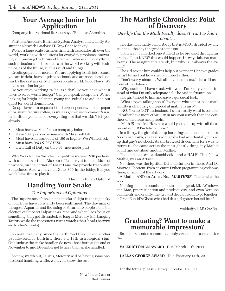# Your Average Junior Job Application

Company: International Buroucracy of Business Associates

Position: Associate Business System Analyst and Quality Assurance Network Database IT Guy/ Code Monkey

We are a large scale business firm with associates all over the world, working with solutions for everyday problems innovating and pushing the future of life the universe and everything, such as business and associates in the world working with technologies of the future, such as stuff and things.

Greetings, pathetic mortal! You are applying to this job because you are in debt, have no job experience, and are considered useless by the vast majority of the corporate world. Good News! We have a position for you!

Do you enjoy working 25 hours a day? Do you have what it takes to solve world hunger? Can you speak computer? We are looking for bright, talented young individuals to aid us in our quest for world domination.

Co-op slaves are expected to sharpen pencils, install paper clips, manufacture coffee, as well as spawn more overlordsssss. In addition, you must do everything else that we didn't tell you already.

- Must have worked for our company before
- Have  $10+$  years experience with Microsoft F#
- Must have measured IQ of 180 or higher (We WILL check)
- Must have BALLS OF STEEL
- Own Call of Duty on the PS3 (noo noobs plz)

Why Work for Us? We offer competitive wages of \$10 per hour, with unpaid overtime. Also our office is right in the middle of nowhere, on the corner of Loser Lane. We provide free water. Sometimes. Also we have an Xbox 360 in the lobby. But you won't have time to play it.

The Unfortunate Optimist

# Handling Your Snake

### The Importance of Opiuchus

The importance of the distant specks of light in the night sky on our lives have constantly been reaffirmed. The dawning of the age of Aquarius and the rising of Saturn in Scorpio led to the election of Emperor Palpatine as Pope, and when Leos focus on something, they get distracted, so long as Mercury isn't banging Taurus while the incestuous twins watch (their heads betwixt each other's heads).

So now, magically, since the Earth "wobbles" or some other pseudo-science bullshit, there's a 13th astrological sign, Ophiuchus: the snake handler. So now, those born at the end of November to mid December get to have their snake handled.

So now, watch out, Taurus, Mercury will be having some professional handling while, well, you know the rest.

# The Marthsie Chronicles: Point of Discovery

One life that the Math Faculty doesn't want to know about…

The day had finally come. A day that is MOST dreaded by any student…the day that grades come out.

"I knew it!" remarked one student as he browsed through his grades. "I just KNEW this would happen. I always falter at math exams. The assignments are ok, but why is it always the exams?!"

The girl next to him couldn't help but overhear. Her own grades hadn't turned out how she had hoped either.

"Don't worry about it. We all have bad terms," she said as a form of condolence.

"Why couldn't I have stuck with what I'm really good at instead of what I'm only adequate at?!" he said in frustration.

The girl turned to him and gave a quizzical look.

"What are you talking about? Everyone who comes to the math faculty is obviously quite good at math, it's just-"

"NO. You do NOT understand. I didn't really want to be here. I'd rather have more creativity in my coursework than the confines of theorems and proofs."

"Math IS creative! How else would you come up with all those proo-dammit! I'm late for class."

In a flurry, the girl picked up her things and headed to class. As she sat down, she realized that she had accidentally picked up that guy's notebook. As she browsed its contents for a way to return it, she came across the most ghastly thing any Mathie could find out about another Mathie.

The notebook was a sketchbook…and a HALF! This fellow Mathie, was an Artsie!

No, there was the Epsilon-Delta definition in there. And De Moivre's Theorem! Even an entire Python programming code was there, all amongst the artwork.

A Mathie AND an Artsie. No...**MARTHSIE**. That's what he was.

Nothing about the combination seemed logical. Like Windows and Mac, procrastination and productivity, and even Youtube comments and civility, the two just did not seem to go together!

Great Euclid's Ghost what had this girl gotten herself into?

waldo@<3.LE-GASP.ca

# Graduating? Want to make a memorable impression?

Be on the selection committee, apply, or nominate someone for the:

VALEDICTORIAN AWARD - Due: March 11th, 2011

J ALLAN GEORGE AWARD - Due: February 11th, 2011

For the forms, please visit mgc.uwaterloo.ca.

Now I have Cancer theDreamer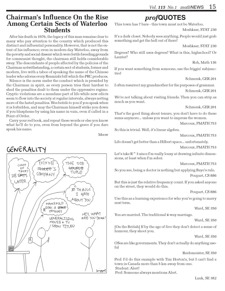# Chairman's Influence On the Rise Among Certain Sects of Waterloo **Students**

After his death in 1976, the legacy of this man remains clear to many who pay attention to the country which produced this distinct and influential personality. However, that is not the extent of his influence; even in modern day Waterloo, away from the poverty and social dissent which were fertile breeding grounds for communist thought, the chairman still holds considerable sway. The descendants of people affected by the policies of the Chairman notwithstanding, a certain sect of students, former and modern, live with a taboo of speaking the name of the Chinese leader who adorns every Renminbi bill which the PRC produces.

Silence is the norm under the conduct which is presided by the Chairman in spirit, as every person tries their hardest to shed the penalties dealt to them under the oppressive regime. Cryptic violations are a mundane part of life while new edicts seem to flow into the society at regular intervals, always netting more of the hated penalties. Woe betide to you if you speak when it is forbidden, and may the Chairman himself strike you down if you blaspheme by using his name in vain, even if called in a Point of Order.

Carry your red book, and repeat these words or else you know what he'll do to you, even from beyond the grave if you dare speak his name.

Meow

# GENERALITY



# prof**QUOTES**

This town has 7 bars - this town must not be Waterloo.

Moshksar, STAT 230

It's a dark closet. Nobody sees anything. People would just grab something and get the hell out of there!

Moshksar, STAT 230

Degrees? Who still uses degrees? What is this, highschool? Or Laurier?

Roh, Math 136

If you want something from someone, use the friggin' subjunctive!

Schmenk, GER 201

I often resurrect my grandmother for the purposes of grammar. Schmenk, GER 201

We're not talking about visiting friends. Then you can strip as much as you want.

Schmenk, GER 201

That's the good thing about tenure, you don't have to do these sums anymore... unless you want to impress the women.

Marcoux, PMATH 753

So this is trivial. Well, it's linear algebra.

Marcoux, PMATH 753

Life doesn't get better than a Hilbert space... unfortunately.

Marcoux, PMATH 753

Let's take  $R^{\wedge}3$  since I'm really lousy at drawing infinite dimensions, at least when I'm sober.

Marcoux, PMATH 753

So you see, being a doctor is nothing but applying Baye's rule. Poupart, CS 886

But this is just the relative frequency count. If you asked anyone on the street, they would do this.

```
Poupart, CS 886
```
Use this as a learning experience for who you're going to marry next term.

Ward, SE 350

You are married. The traditional 4-way marriage.

Ward, SE 350

[On the British] If by the age of five they don't detect a sense of humour, they shoot you.

Ward, SE 350

OSes are like governments. They don't actually do anything useful

Reidemeister, SE 350

Prof: I'd do this example with Tim Horton's, but I can't find a town in Canada more than 5 km away from one. Student: Alert! Prof: Someone always mentions Alert.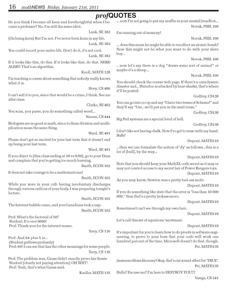# prof**QUOTES**

16 mathNEWS Friday, January 21st, 2011 Do you think I became all keen and forethoughtful when I became a professor? No, I'm still the same idiot. Lank, SE 382 [On being keen] But I'm not. I've never been keen in my life. Lank, SE 382 You could record your entire life. Don't do it, it's not cool. Lank, SE 382 If it looks like this, do this. If it looks like that, do that. NERD ALERT: That's an algorithm. Knoll, MATH 128 I'm teaching a course about something that nobody really knows what it is. Hoey, CS 486 I can't sell it to you, since that would be a crime, I think. See me after class. Clarke, SE 402 You scan, you parse, you do something called weed... Naeem, CS 444 Biologists are no good at math, since to them division and multiplication mean the same thing. Ward, SE 491 Please don't get so excited for your last term that it doesn't end up being your last term. Ward, SE 491

If you object to [this class ending at 10 vs 9:50], go to your Dean and complain that you're getting too much learning.

Smith, ECON 102

It does not take courage to be a mathematician!

Smith, ECON 102

While you were in your crib having involuntary discharges through various orifices of your body, I was preparing tonight's lecture.

Smith, ECON 102

The Internet bubble came, and you Canadians took a nap.

Smith, ECON 102

Prof: What's the factorial of 50? Student: It's over 9000! Prof: Thank-you for the internet meme.

Terry, CS 116

Prof: And 64 plus 5 is... [Student guffaws profusely] Prof: 69! I can see that has the other meanings for some people. Terry, CS 116

Prof: The problem was, Gauss didn't exactly prove his thesis- Student [clearly not paying attention]: OH SHIT! Prof: Yeah, that's what Gauss said.

Koeller, MATH 135

... now I'm not going to put my muffin in your mental breadbox... Novak, PHIL 100

I'm running out of memory!

Novak, PHIL 100

... does this mean he might be able to recollect an atomic bomb? Now this might not be what you want to do with your slave boy...

Novak, PHIL 100

.. now let's say there is a dog \*draws some sort of animal\* or maybe it's a sheep...

Novak, PHIL 100

You should check the course web page. If there's a cataclysmic disaster and...Waterloo is attacked by bear-sharks, that's where it'll be posted.

### Godfrey, CS138

You can go into co-op and say "I have two terms of Scheme!" and they'll say "Um...we'll put you in the mail room."

Godfrey, CS138

Big Perl systems are a special level of hell.

```
Godfrey, CS138
```
I don't like not having chalk. Now I've got to erase with my hand. Balls!

### Dupont, MATH119

...then we can formalize the notion of 'dy' as follows...this is a lot of [bull], by the way...

### Dupont, MATH119

Note that you should keep your MathXL code secret as it may or may not control access to my secret lair of Power Rangers toys. Dupont, MATH119

As you may know, Newton was a pretty bad-ass mofo.

Dupont, MATH119

If you do something like state that the error is "less than 10 000 000," then that's a pretty jackass move.

Dupont, MATH119

Sometimes I can't see through my own hair.

Dupont, MATH119

Let's call this set of equations 'snowman'.

Dupont, MATH119

It's important for you to learn how to do proofs in software engineering, to prove to your boss that your code will work one hundred percent of the time. Microsoft doesn't do that, though. Pei, MATH135

(someone blows his nose) Okay, that's our sound effect for 'TRUE'. Pei, MATH135

Hello? Excuse me? I'm here to DESTROY YOU!!!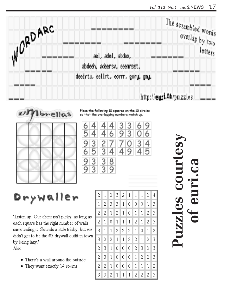

 $\nu$ Mbrellas

Place the following 10 squares on the 10 circles so that the overlapping numbers match up.





"Listen up. Our client isn't picky, as long as each square has the right number of walls surrounding it. Sounds a little tricky, but we didn't get to be the #3 drywall outfit in town by being lazy."

Also:

- There's a wall around the outside
- They want exactly 14 rooms

| 2 | 1 | $\overline{2}$ | $\overline{\mathbf{3}}$ | 12.          | $\mathbf{1}$ | $\mathbf{1}$ | 1            | 2 | 4 |
|---|---|----------------|-------------------------|--------------|--------------|--------------|--------------|---|---|
| 1 | 2 | 3              | 13.                     | $\,1$        | 0            | 0            | 0            | 1 | 3 |
| 2 | 2 | $\mathbf{1}$   | 2                       | $\mathbf{1}$ | 0            | $\mathbf{1}$ | 1            | 2 | 3 |
| 2 | 1 | 0              | 1                       | $\,1$        | 1            | 2            | 1            | 2 | 3 |
| 3 | 1 | 1              | 2                       | 2            | 2            | $\mathbf{1}$ | 0            | 1 | 2 |
| 3 | 2 | 2              | $\mathbf{1}$            | 1            |              | 2 2          | $\mathbf{1}$ | 2 | 3 |
| 2 | 3 | 1              | 0                       | 0            | 0            | $\mathbf{2}$ | 3            | 2 | 3 |
| 2 | 3 | 1              | 0                       | 0            | 0            | 1            | 2            | 2 | 3 |
| 2 | 2 | $\,1$          | 0                       | 0            | 0            | 1            | $\mathbf{1}$ | 1 | 2 |
| 3 | 3 | 2              | $\,1$                   | 1            | 1            | 2            | 2            | 2 | 3 |

# Puzzles courtesy of euri.ca